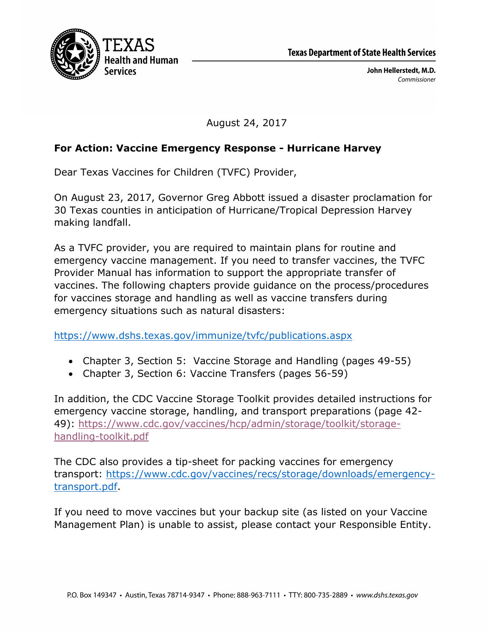

August 24, 2017

## **For Action: Vaccine Emergency Response - Hurricane Harvey**

Dear Texas Vaccines for Children (TVFC) Provider,

On August 23, 2017, Governor Greg Abbott issued a disaster proclamation for 30 Texas counties in anticipation of Hurricane/Tropical Depression Harvey making landfall.

As a TVFC provider, you are required to maintain plans for routine and emergency vaccine management. If you need to transfer vaccines, the TVFC Provider Manual has information to support the appropriate transfer of vaccines. The following chapters provide guidance on the process/procedures for vaccines storage and handling as well as vaccine transfers during emergency situations such as natural disasters:

https://www.dshs.texas.gov/immunize/tvfc/publications.aspx

- Chapter 3, Section 5: Vaccine Storage and Handling (pages 49-55)
- Chapter 3, Section 6: Vaccine Transfers (pages 56-59)

In addition, the CDC Vaccine Storage Toolkit provides detailed instructions for emergency vaccine storage, handling, and transport preparations (page 42- 49): https://www.cdc.gov/vaccines/hcp/admin/storage/toolkit/storagehandling-toolkit.pdf

The CDC also provides a tip-sheet for packing vaccines for emergency transport: https://www.cdc.gov/vaccines/recs/storage/downloads/emergencytransport.pdf.

If you need to move vaccines but your backup site (as listed on your Vaccine Management Plan) is unable to assist, please contact your Responsible Entity.